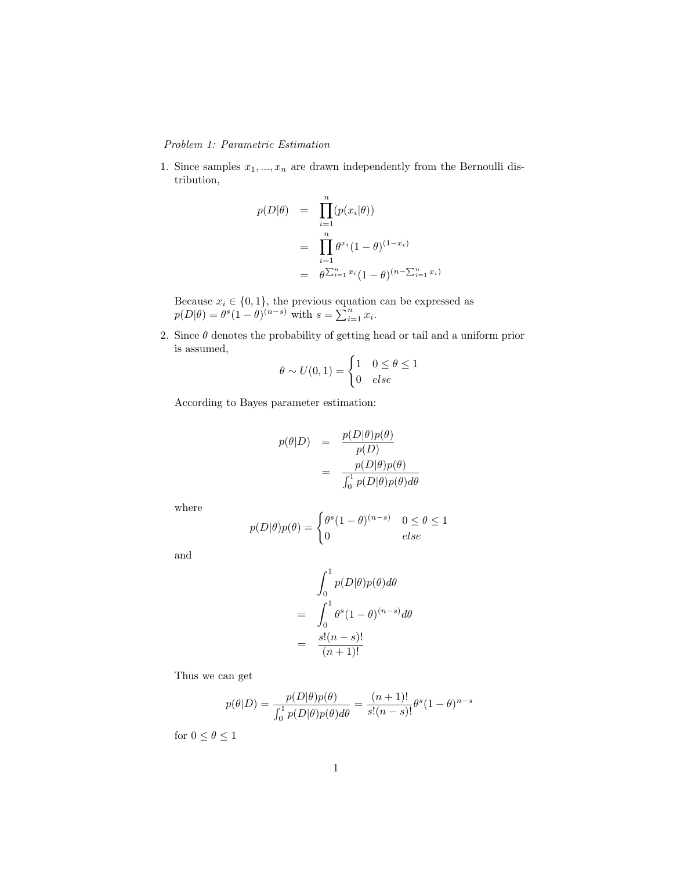## Problem 1: Parametric Estimation

1. Since samples  $x_1, ..., x_n$  are drawn independently from the Bernoulli distribution,

$$
p(D|\theta) = \prod_{i=1}^{n} (p(x_i|\theta))
$$
  
= 
$$
\prod_{i=1}^{n} \theta^{x_i} (1-\theta)^{(1-x_i)}
$$
  
= 
$$
\theta^{\sum_{i=1}^{n} x_i} (1-\theta)^{(n-\sum_{i=1}^{n} x_i)}
$$

Because  $x_i \in \{0, 1\}$ , the previous equation can be expressed as  $p(D|\theta) = \theta^s (1-\theta)^{(n-s)}$  with  $s = \sum_{i=1}^n x_i$ .

2. Since  $\theta$  denotes the probability of getting head or tail and a uniform prior is assumed,

$$
\theta \sim U(0, 1) = \begin{cases} 1 & 0 \le \theta \le 1 \\ 0 & else \end{cases}
$$

According to Bayes parameter estimation:

$$
p(\theta|D) = \frac{p(D|\theta)p(\theta)}{p(D)}
$$

$$
= \frac{p(D|\theta)p(\theta)}{\int_0^1 p(D|\theta)p(\theta)d\theta}
$$

where

$$
p(D|\theta)p(\theta) = \begin{cases} \theta^s (1-\theta)^{(n-s)} & 0 \le \theta \le 1 \\ 0 & else \end{cases}
$$

and

$$
\int_0^1 p(D|\theta)p(\theta)d\theta
$$
  
= 
$$
\int_0^1 \theta^s (1-\theta)^{(n-s)}d\theta
$$
  
= 
$$
\frac{s!(n-s)!}{(n+1)!}
$$

Thus we can get

$$
p(\theta|D) = \frac{p(D|\theta)p(\theta)}{\int_0^1 p(D|\theta)p(\theta)d\theta} = \frac{(n+1)!}{s!(n-s)!} \theta^s (1-\theta)^{n-s}
$$

for  $0\leq\theta\leq1$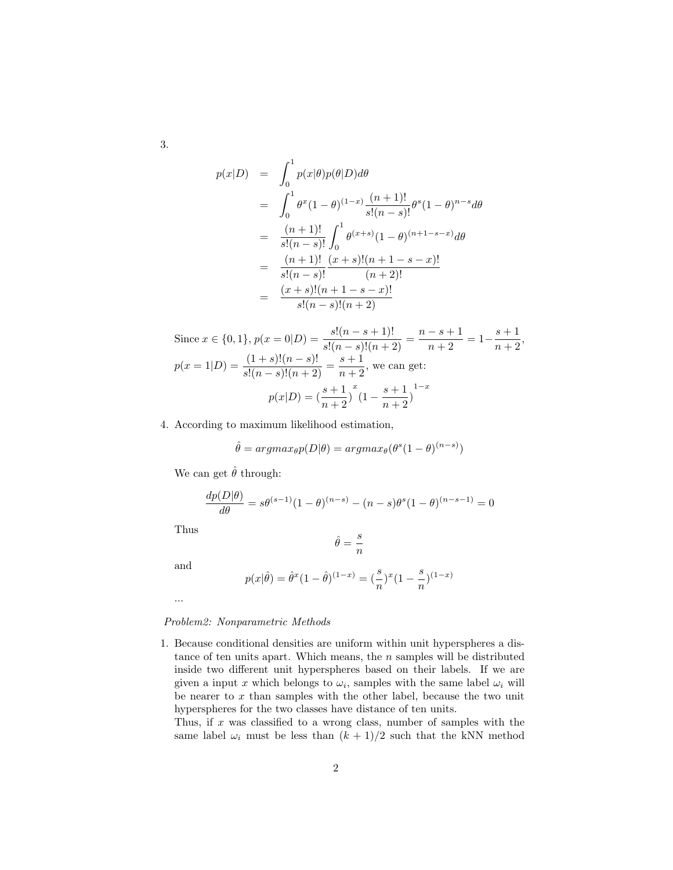3.

$$
p(x|D) = \int_0^1 p(x|\theta)p(\theta|D)d\theta
$$
  
= 
$$
\int_0^1 \theta^x (1-\theta)^{(1-x)} \frac{(n+1)!}{s!(n-s)!} \theta^s (1-\theta)^{n-s} d\theta
$$
  
= 
$$
\frac{(n+1)!}{s!(n-s)!} \int_0^1 \theta^{(x+s)} (1-\theta)^{(n+1-s-x)} d\theta
$$
  
= 
$$
\frac{(n+1)!}{s!(n-s)!} \frac{(x+s)!(n+1-s-x)!}{(n+2)!}
$$
  
= 
$$
\frac{(x+s)!(n+1-s-x)!}{s!(n-s)!(n+2)}
$$

Since 
$$
x \in \{0, 1\}
$$
,  $p(x = 0|D) = \frac{s!(n - s + 1)!}{s!(n - s)!(n + 2)} = \frac{n - s + 1}{n + 2} = 1 - \frac{s + 1}{n + 2}$ ,  
\n
$$
p(x = 1|D) = \frac{(1 + s)!(n - s)!}{s!(n - s)!(n + 2)} = \frac{s + 1}{n + 2}
$$
, we can get:  
\n
$$
p(x|D) = \left(\frac{s + 1}{n + 2}\right)^x \left(1 - \frac{s + 1}{n + 2}\right)^{1 - x}
$$

4. According to maximum likelihood estimation,

$$
\hat{\theta} = argmax_{\theta} p(D|\theta) = argmax_{\theta} (\theta^{s} (1 - \theta)^{(n - s)})
$$

We can get  $\hat{\theta}$  through:

$$
\frac{dp(D|\theta)}{d\theta} = s\theta^{(s-1)}(1-\theta)^{(n-s)} - (n-s)\theta^{s}(1-\theta)^{(n-s-1)} = 0
$$

Thus

$$
\hat{\theta}=\frac{s}{n}
$$

and

$$
p(x|\hat{\theta}) = \hat{\theta}^x (1 - \hat{\theta})^{(1-x)} = (\frac{s}{n})^x (1 - \frac{s}{n})^{(1-x)}
$$

...

## Problem2: Nonparametric Methods

1. Because conditional densities are uniform within unit hyperspheres a distance of ten units apart. Which means, the  $n$  samples will be distributed inside two different unit hyperspheres based on their labels. If we are given a input x which belongs to  $\omega_i$ , samples with the same label  $\omega_i$  will be nearer to  $x$  than samples with the other label, because the two unit hyperspheres for the two classes have distance of ten units.

Thus, if  $x$  was classified to a wrong class, number of samples with the same label  $\omega_i$  must be less than  $(k + 1)/2$  such that the kNN method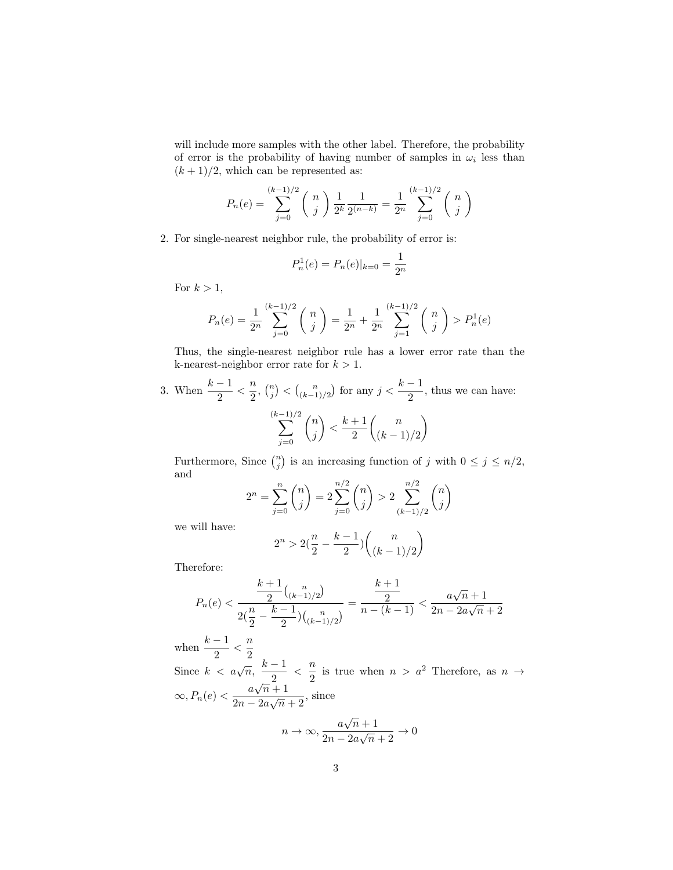will include more samples with the other label. Therefore, the probability of error is the probability of having number of samples in  $\omega_i$  less than  $(k+1)/2$ , which can be represented as:

$$
P_n(e) = \sum_{j=0}^{(k-1)/2} \binom{n}{j} \frac{1}{2^k} \frac{1}{2^{(n-k)}} = \frac{1}{2^n} \sum_{j=0}^{(k-1)/2} \binom{n}{j}
$$

2. For single-nearest neighbor rule, the probability of error is:

$$
P_n^1(e) = P_n(e)|_{k=0} = \frac{1}{2^n}
$$

For  $k > 1$ ,

$$
P_n(e) = \frac{1}{2^n} \sum_{j=0}^{(k-1)/2} \binom{n}{j} = \frac{1}{2^n} + \frac{1}{2^n} \sum_{j=1}^{(k-1)/2} \binom{n}{j} > P_n^1(e)
$$

Thus, the single-nearest neighbor rule has a lower error rate than the k-nearest-neighbor error rate for  $k > 1$ .

3. When 
$$
\frac{k-1}{2} < \frac{n}{2}
$$
,  $\binom{n}{j} < \binom{n}{(k-1)/2}$  for any  $j < \frac{k-1}{2}$ , thus we can have:  
\n
$$
\sum_{j=0}^{(k-1)/2} \binom{n}{j} < \frac{k+1}{2} \binom{n}{(k-1)/2}
$$

Furthermore, Since  $\binom{n}{j}$  is an increasing function of j with  $0 \leq j \leq n/2$ , and

$$
2^{n} = \sum_{j=0}^{n} {n \choose j} = 2 \sum_{j=0}^{n/2} {n \choose j} > 2 \sum_{(k-1)/2}^{n/2} {n \choose j}
$$

we will have:

$$
2^n>2(\frac{n}{2}-\frac{k-1}{2})\binom{n}{(k-1)/2}
$$

Therefore:

$$
P_n(e) < \frac{\frac{k+1}{2} \binom{n}{(k-1)/2}}{2(\frac{n}{2} - \frac{k-1}{2}) \binom{n}{(k-1)/2}} = \frac{\frac{k+1}{2}}{n - (k-1)} < \frac{a\sqrt{n} + 1}{2n - 2a\sqrt{n} + 2}
$$

when  $\frac{k-1}{2} < \frac{n}{2}$ Since  $k < a\sqrt{n}$ ,  $\frac{k-1}{2}$  $\frac{-1}{2}$  <  $\frac{n}{2}$  $\frac{n}{2}$  is true when  $n > a^2$  Therefore, as  $n \to \infty$  $\infty, P_n(e) < \frac{a\sqrt{n}+1}{2\sqrt{n}}$  $\frac{a\sqrt{n+1}}{2n-2a\sqrt{n}+2}$ , since √

$$
n \to \infty, \frac{a\sqrt{n}+1}{2n-2a\sqrt{n}+2} \to 0
$$